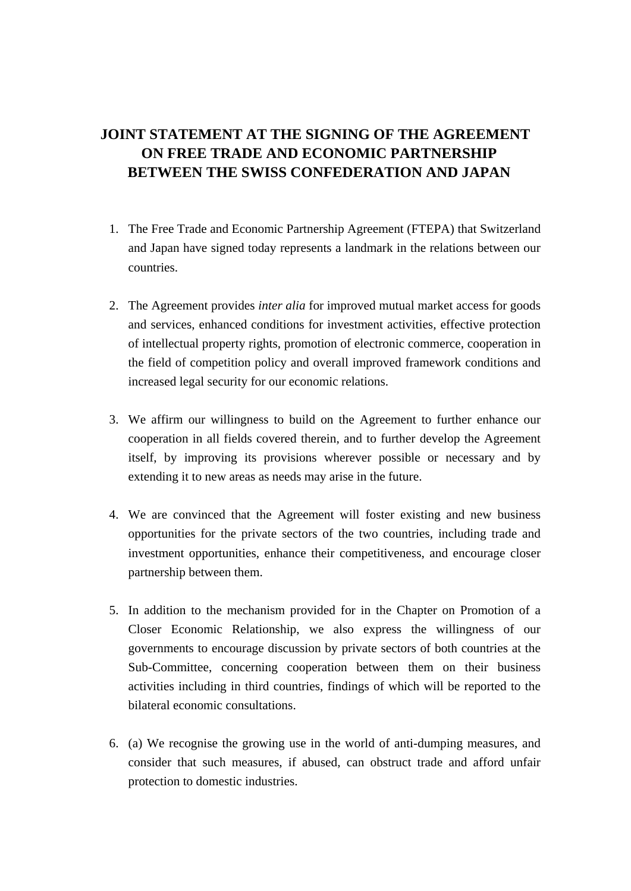## **JOINT STATEMENT AT THE SIGNING OF THE AGREEMENT ON FREE TRADE AND ECONOMIC PARTNERSHIP BETWEEN THE SWISS CONFEDERATION AND JAPAN**

- 1. The Free Trade and Economic Partnership Agreement (FTEPA) that Switzerland and Japan have signed today represents a landmark in the relations between our countries.
- 2. The Agreement provides *inter alia* for improved mutual market access for goods and services, enhanced conditions for investment activities, effective protection of intellectual property rights, promotion of electronic commerce, cooperation in the field of competition policy and overall improved framework conditions and increased legal security for our economic relations.
- 3. We affirm our willingness to build on the Agreement to further enhance our cooperation in all fields covered therein, and to further develop the Agreement itself, by improving its provisions wherever possible or necessary and by extending it to new areas as needs may arise in the future.
- 4. We are convinced that the Agreement will foster existing and new business opportunities for the private sectors of the two countries, including trade and investment opportunities, enhance their competitiveness, and encourage closer partnership between them.
- 5. In addition to the mechanism provided for in the Chapter on Promotion of a Closer Economic Relationship, we also express the willingness of our governments to encourage discussion by private sectors of both countries at the Sub-Committee, concerning cooperation between them on their business activities including in third countries, findings of which will be reported to the bilateral economic consultations.
- 6. (a) We recognise the growing use in the world of anti-dumping measures, and consider that such measures, if abused, can obstruct trade and afford unfair protection to domestic industries.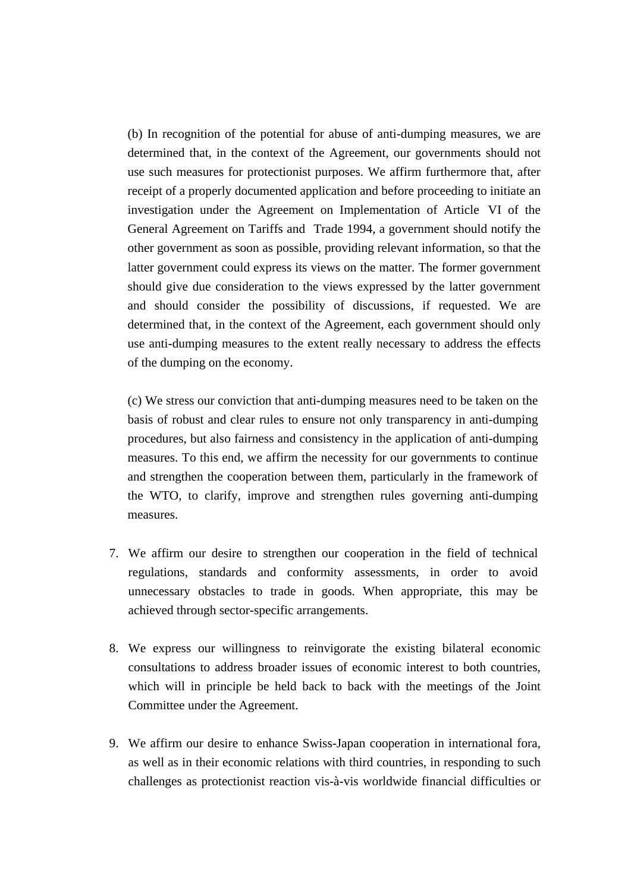(b) In recognition of the potential for abuse of anti-dumping measures, we are determined that, in the context of the Agreement, our governments should not use such measures for protectionist purposes. We affirm furthermore that, after receipt of a properly documented application and before proceeding to initiate an investigation under the Agreement on Implementation of Article VI of the General Agreement on Tariffs and Trade 1994, a government should notify the other government as soon as possible, providing relevant information, so that the latter government could express its views on the matter. The former government should give due consideration to the views expressed by the latter government and should consider the possibility of discussions, if requested. We are determined that, in the context of the Agreement, each government should only use anti-dumping measures to the extent really necessary to address the effects of the dumping on the economy.

(c) We stress our conviction that anti-dumping measures need to be taken on the basis of robust and clear rules to ensure not only transparency in anti-dumping procedures, but also fairness and consistency in the application of anti-dumping measures. To this end, we affirm the necessity for our governments to continue and strengthen the cooperation between them, particularly in the framework of the WTO, to clarify, improve and strengthen rules governing anti-dumping measures.

- 7. We affirm our desire to strengthen our cooperation in the field of technical regulations, standards and conformity assessments, in order to avoid unnecessary obstacles to trade in goods. When appropriate, this may be achieved through sector-specific arrangements.
- 8. We express our willingness to reinvigorate the existing bilateral economic consultations to address broader issues of economic interest to both countries, which will in principle be held back to back with the meetings of the Joint Committee under the Agreement.
- 9. We affirm our desire to enhance Swiss-Japan cooperation in international fora, as well as in their economic relations with third countries, in responding to such challenges as protectionist reaction vis-à-vis worldwide financial difficulties or